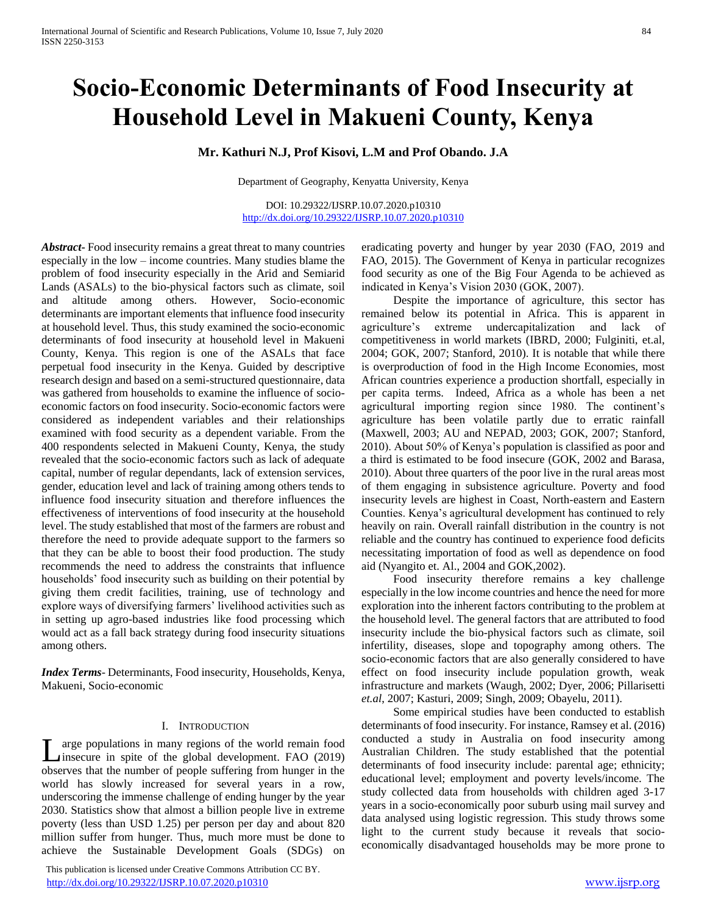# **Socio-Economic Determinants of Food Insecurity at Household Level in Makueni County, Kenya**

# **Mr. Kathuri N.J, Prof Kisovi, L.M and Prof Obando. J.A**

Department of Geography, Kenyatta University, Kenya

DOI: 10.29322/IJSRP.10.07.2020.p10310 <http://dx.doi.org/10.29322/IJSRP.10.07.2020.p10310>

*Abstract***-** Food insecurity remains a great threat to many countries especially in the low – income countries. Many studies blame the problem of food insecurity especially in the Arid and Semiarid Lands (ASALs) to the bio-physical factors such as climate, soil and altitude among others. However, Socio-economic determinants are important elements that influence food insecurity at household level. Thus, this study examined the socio-economic determinants of food insecurity at household level in Makueni County, Kenya. This region is one of the ASALs that face perpetual food insecurity in the Kenya. Guided by descriptive research design and based on a semi-structured questionnaire, data was gathered from households to examine the influence of socioeconomic factors on food insecurity. Socio-economic factors were considered as independent variables and their relationships examined with food security as a dependent variable. From the 400 respondents selected in Makueni County, Kenya, the study revealed that the socio-economic factors such as lack of adequate capital, number of regular dependants, lack of extension services, gender, education level and lack of training among others tends to influence food insecurity situation and therefore influences the effectiveness of interventions of food insecurity at the household level. The study established that most of the farmers are robust and therefore the need to provide adequate support to the farmers so that they can be able to boost their food production. The study recommends the need to address the constraints that influence households' food insecurity such as building on their potential by giving them credit facilities, training, use of technology and explore ways of diversifying farmers' livelihood activities such as in setting up agro-based industries like food processing which would act as a fall back strategy during food insecurity situations among others.

*Index Terms*- Determinants, Food insecurity, Households, Kenya, Makueni, Socio-economic

#### I. INTRODUCTION

arge populations in many regions of the world remain food Large populations in many regions of the world remain food<br>insecure in spite of the global development. FAO (2019) observes that the number of people suffering from hunger in the world has slowly increased for several years in a row, underscoring the immense challenge of ending hunger by the year 2030. Statistics show that almost a billion people live in extreme poverty (less than USD 1.25) per person per day and about 820 million suffer from hunger. Thus, much more must be done to achieve the Sustainable Development Goals (SDGs) on

 This publication is licensed under Creative Commons Attribution CC BY. <http://dx.doi.org/10.29322/IJSRP.10.07.2020.p10310> [www.ijsrp.org](http://ijsrp.org/)

eradicating poverty and hunger by year 2030 (FAO, 2019 and FAO, 2015). The Government of Kenya in particular recognizes food security as one of the Big Four Agenda to be achieved as indicated in Kenya's Vision 2030 (GOK, 2007).

 Despite the importance of agriculture, this sector has remained below its potential in Africa. This is apparent in agriculture's extreme undercapitalization and lack of competitiveness in world markets (IBRD, 2000; Fulginiti, et.al, 2004; GOK, 2007; Stanford, 2010). It is notable that while there is overproduction of food in the High Income Economies, most African countries experience a production shortfall, especially in per capita terms. Indeed, Africa as a whole has been a net agricultural importing region since 1980. The continent's agriculture has been volatile partly due to erratic rainfall (Maxwell, 2003; AU and NEPAD, 2003; GOK, 2007; Stanford, 2010). About 50% of Kenya's population is classified as poor and a third is estimated to be food insecure (GOK, 2002 and Barasa, 2010). About three quarters of the poor live in the rural areas most of them engaging in subsistence agriculture. Poverty and food insecurity levels are highest in Coast, North-eastern and Eastern Counties. Kenya's agricultural development has continued to rely heavily on rain. Overall rainfall distribution in the country is not reliable and the country has continued to experience food deficits necessitating importation of food as well as dependence on food aid (Nyangito et. Al., 2004 and GOK,2002).

 Food insecurity therefore remains a key challenge especially in the low income countries and hence the need for more exploration into the inherent factors contributing to the problem at the household level. The general factors that are attributed to food insecurity include the bio-physical factors such as climate, soil infertility, diseases, slope and topography among others. The socio-economic factors that are also generally considered to have effect on food insecurity include population growth, weak infrastructure and markets (Waugh, 2002; Dyer, 2006; Pillarisetti *et.al*, 2007; Kasturi, 2009; Singh, 2009; Obayelu, 2011).

 Some empirical studies have been conducted to establish determinants of food insecurity. For instance, Ramsey et al. (2016) conducted a study in Australia on food insecurity among Australian Children. The study established that the potential determinants of food insecurity include: parental age; ethnicity; educational level; employment and poverty levels/income. The study collected data from households with children aged 3-17 years in a socio-economically poor suburb using mail survey and data analysed using logistic regression. This study throws some light to the current study because it reveals that socioeconomically disadvantaged households may be more prone to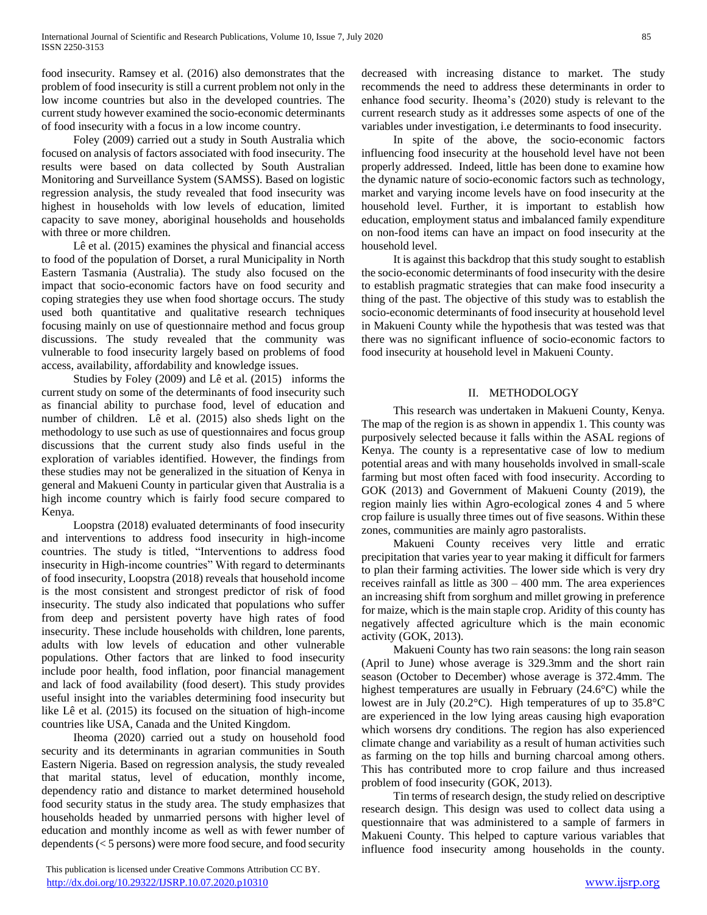food insecurity. Ramsey et al. (2016) also demonstrates that the problem of food insecurity is still a current problem not only in the low income countries but also in the developed countries. The current study however examined the socio-economic determinants of food insecurity with a focus in a low income country.

 Foley (2009) carried out a study in South Australia which focused on analysis of factors associated with food insecurity. The results were based on data collected by South Australian Monitoring and Surveillance System (SAMSS). Based on logistic regression analysis, the study revealed that food insecurity was highest in households with low levels of education, limited capacity to save money, aboriginal households and households with three or more children.

 Lê et al. (2015) examines the physical and financial access to food of the population of Dorset, a rural Municipality in North Eastern Tasmania (Australia). The study also focused on the impact that socio-economic factors have on food security and coping strategies they use when food shortage occurs. The study used both quantitative and qualitative research techniques focusing mainly on use of questionnaire method and focus group discussions. The study revealed that the community was vulnerable to food insecurity largely based on problems of food access, availability, affordability and knowledge issues.

 Studies by Foley (2009) and Lê et al. (2015) informs the current study on some of the determinants of food insecurity such as financial ability to purchase food, level of education and number of children. Lê et al. (2015) also sheds light on the methodology to use such as use of questionnaires and focus group discussions that the current study also finds useful in the exploration of variables identified. However, the findings from these studies may not be generalized in the situation of Kenya in general and Makueni County in particular given that Australia is a high income country which is fairly food secure compared to Kenya.

 Loopstra (2018) evaluated determinants of food insecurity and interventions to address food insecurity in high-income countries. The study is titled, "Interventions to address food insecurity in High-income countries" With regard to determinants of food insecurity, Loopstra (2018) reveals that household income is the most consistent and strongest predictor of risk of food insecurity. The study also indicated that populations who suffer from deep and persistent poverty have high rates of food insecurity. These include households with children, lone parents, adults with low levels of education and other vulnerable populations. Other factors that are linked to food insecurity include poor health, food inflation, poor financial management and lack of food availability (food desert). This study provides useful insight into the variables determining food insecurity but like Lê et al. (2015) its focused on the situation of high-income countries like USA, Canada and the United Kingdom.

 Iheoma (2020) carried out a study on household food security and its determinants in agrarian communities in South Eastern Nigeria. Based on regression analysis, the study revealed that marital status, level of education, monthly income, dependency ratio and distance to market determined household food security status in the study area. The study emphasizes that households headed by unmarried persons with higher level of education and monthly income as well as with fewer number of dependents (< 5 persons) were more food secure, and food security

 This publication is licensed under Creative Commons Attribution CC BY. <http://dx.doi.org/10.29322/IJSRP.10.07.2020.p10310> [www.ijsrp.org](http://ijsrp.org/)

decreased with increasing distance to market. The study recommends the need to address these determinants in order to enhance food security. Iheoma's (2020) study is relevant to the current research study as it addresses some aspects of one of the variables under investigation, i.e determinants to food insecurity.

 In spite of the above, the socio-economic factors influencing food insecurity at the household level have not been properly addressed. Indeed, little has been done to examine how the dynamic nature of socio-economic factors such as technology, market and varying income levels have on food insecurity at the household level. Further, it is important to establish how education, employment status and imbalanced family expenditure on non-food items can have an impact on food insecurity at the household level.

 It is against this backdrop that this study sought to establish the socio-economic determinants of food insecurity with the desire to establish pragmatic strategies that can make food insecurity a thing of the past. The objective of this study was to establish the socio-economic determinants of food insecurity at household level in Makueni County while the hypothesis that was tested was that there was no significant influence of socio-economic factors to food insecurity at household level in Makueni County.

### II. METHODOLOGY

 This research was undertaken in Makueni County, Kenya. The map of the region is as shown in appendix 1. This county was purposively selected because it falls within the ASAL regions of Kenya. The county is a representative case of low to medium potential areas and with many households involved in small-scale farming but most often faced with food insecurity. According to GOK (2013) and Government of Makueni County (2019), the region mainly lies within Agro-ecological zones 4 and 5 where crop failure is usually three times out of five seasons. Within these zones, communities are mainly agro pastoralists.

 Makueni County receives very little and erratic precipitation that varies year to year making it difficult for farmers to plan their farming activities. The lower side which is very dry receives rainfall as little as 300 – 400 mm. The area experiences an increasing shift from sorghum and millet growing in preference for maize, which is the main staple crop. Aridity of this county has negatively affected agriculture which is the main economic activity (GOK, 2013).

 Makueni County has two rain seasons: the long rain season (April to June) whose average is 329.3mm and the short rain season (October to December) whose average is 372.4mm. The highest temperatures are usually in February (24.6°C) while the lowest are in July (20.2°C). High temperatures of up to 35.8°C are experienced in the low lying areas causing high evaporation which worsens dry conditions. The region has also experienced climate change and variability as a result of human activities such as farming on the top hills and burning charcoal among others. This has contributed more to crop failure and thus increased problem of food insecurity (GOK, 2013).

 Tin terms of research design, the study relied on descriptive research design. This design was used to collect data using a questionnaire that was administered to a sample of farmers in Makueni County. This helped to capture various variables that influence food insecurity among households in the county.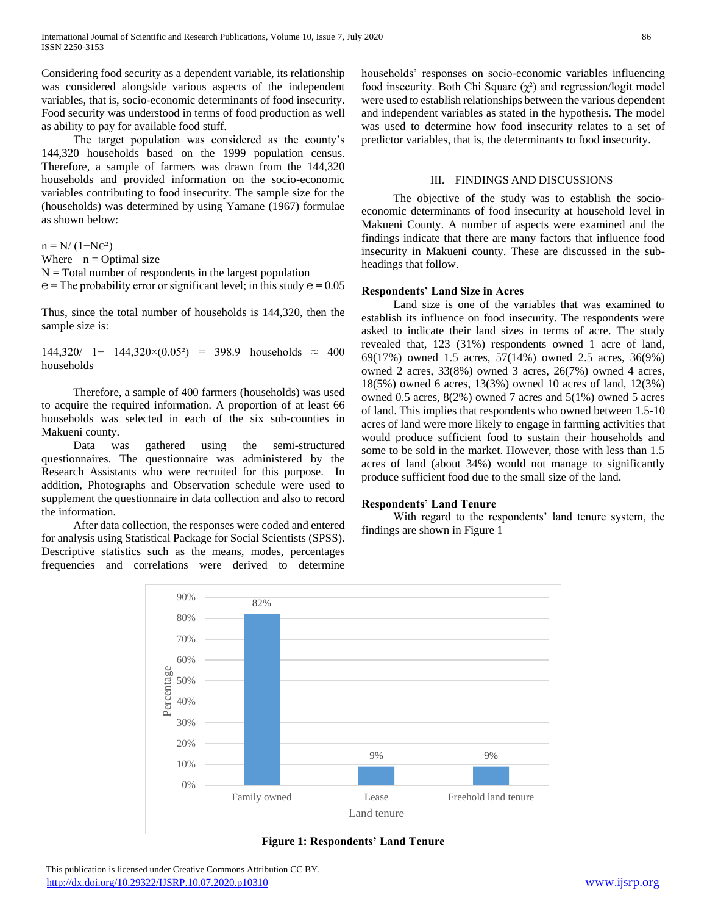Considering food security as a dependent variable, its relationship was considered alongside various aspects of the independent variables, that is, socio-economic determinants of food insecurity. Food security was understood in terms of food production as well as ability to pay for available food stuff.

 The target population was considered as the county's 144,320 households based on the 1999 population census. Therefore, a sample of farmers was drawn from the 144,320 households and provided information on the socio-economic variables contributing to food insecurity. The sample size for the (households) was determined by using Yamane (1967) formulae as shown below:

 $n = N/(1+Ne^2)$ 

Where  $n = \text{Optimal size}$ 

 $N = Total number of respondents in the largest population$ 

 $e =$ The probability error or significant level; in this study  $e = 0.05$ 

Thus, since the total number of households is 144,320, then the sample size is:

 $144,320/$  1+  $144,320\times(0.05^2)$  = 398.9 households  $\approx$  400 households

 Therefore, a sample of 400 farmers (households) was used to acquire the required information. A proportion of at least 66 households was selected in each of the six sub-counties in Makueni county.

 Data was gathered using the semi-structured questionnaires. The questionnaire was administered by the Research Assistants who were recruited for this purpose. In addition, Photographs and Observation schedule were used to supplement the questionnaire in data collection and also to record the information.

 After data collection, the responses were coded and entered for analysis using Statistical Package for Social Scientists (SPSS). Descriptive statistics such as the means, modes, percentages frequencies and correlations were derived to determine

households' responses on socio-economic variables influencing food insecurity. Both Chi Square  $(\chi^2)$  and regression/logit model were used to establish relationships between the various dependent and independent variables as stated in the hypothesis. The model was used to determine how food insecurity relates to a set of predictor variables, that is, the determinants to food insecurity.

#### III. FINDINGS AND DISCUSSIONS

 The objective of the study was to establish the socioeconomic determinants of food insecurity at household level in Makueni County. A number of aspects were examined and the findings indicate that there are many factors that influence food insecurity in Makueni county. These are discussed in the subheadings that follow.

#### **Respondents' Land Size in Acres**

 Land size is one of the variables that was examined to establish its influence on food insecurity. The respondents were asked to indicate their land sizes in terms of acre. The study revealed that, 123 (31%) respondents owned 1 acre of land, 69(17%) owned 1.5 acres, 57(14%) owned 2.5 acres, 36(9%) owned 2 acres, 33(8%) owned 3 acres, 26(7%) owned 4 acres, 18(5%) owned 6 acres, 13(3%) owned 10 acres of land, 12(3%) owned 0.5 acres, 8(2%) owned 7 acres and 5(1%) owned 5 acres of land. This implies that respondents who owned between 1.5-10 acres of land were more likely to engage in farming activities that would produce sufficient food to sustain their households and some to be sold in the market. However, those with less than 1.5 acres of land (about 34%) would not manage to significantly produce sufficient food due to the small size of the land.

#### **Respondents' Land Tenure**

 With regard to the respondents' land tenure system, the findings are shown in Figure 1



**Figure 1: Respondents' Land Tenure**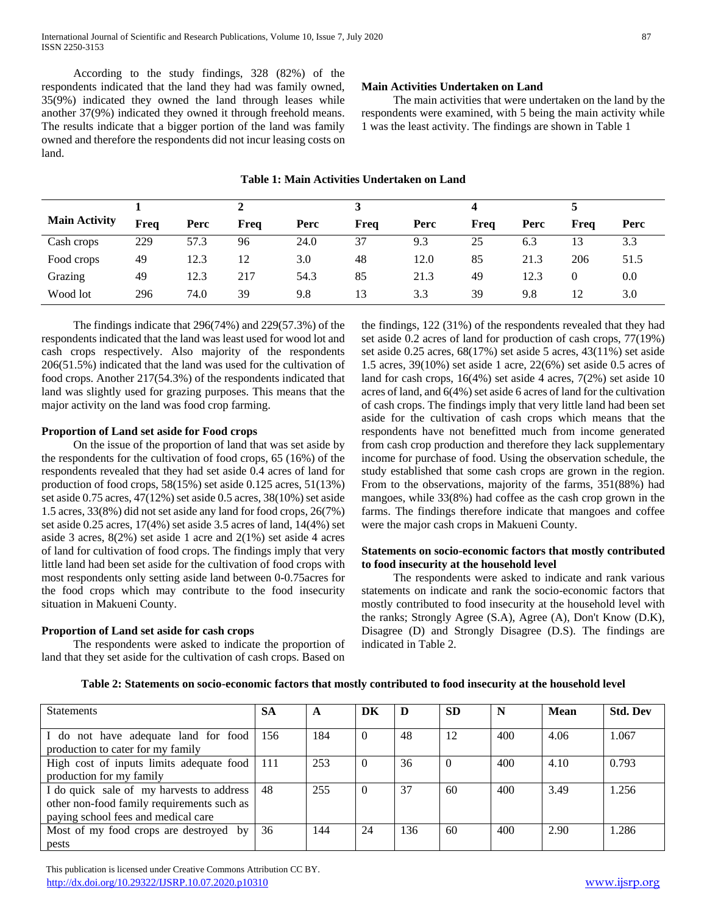According to the study findings, 328 (82%) of the respondents indicated that the land they had was family owned, 35(9%) indicated they owned the land through leases while another 37(9%) indicated they owned it through freehold means. The results indicate that a bigger portion of the land was family owned and therefore the respondents did not incur leasing costs on land.

## **Main Activities Undertaken on Land**

 The main activities that were undertaken on the land by the respondents were examined, with 5 being the main activity while 1 was the least activity. The findings are shown in Table 1

| <b>Main Activity</b> | Freq | Perc | Freq | Perc | Freq | Perc | Freq | Perc | Freq | Perc |
|----------------------|------|------|------|------|------|------|------|------|------|------|
| Cash crops           | 229  | 57.3 | 96   | 24.0 | 37   | 9.3  | 25   | 6.3  | 13   | 3.3  |
| Food crops           | 49   | 12.3 | 12   | 3.0  | 48   | 12.0 | 85   | 21.3 | 206  | 51.5 |
| Grazing              | 49   | 12.3 | 217  | 54.3 | 85   | 21.3 | 49   | 12.3 |      | 0.0  |
| Wood lot             | 296  | 74.0 | 39   | 9.8  | 13   | 3.3  | 39   | 9.8  | 12   | 3.0  |

## **Table 1: Main Activities Undertaken on Land**

 The findings indicate that 296(74%) and 229(57.3%) of the respondents indicated that the land was least used for wood lot and cash crops respectively. Also majority of the respondents 206(51.5%) indicated that the land was used for the cultivation of food crops. Another 217(54.3%) of the respondents indicated that land was slightly used for grazing purposes. This means that the major activity on the land was food crop farming.

## **Proportion of Land set aside for Food crops**

 On the issue of the proportion of land that was set aside by the respondents for the cultivation of food crops, 65 (16%) of the respondents revealed that they had set aside 0.4 acres of land for production of food crops, 58(15%) set aside 0.125 acres, 51(13%) set aside 0.75 acres, 47(12%) set aside 0.5 acres, 38(10%) set aside 1.5 acres, 33(8%) did not set aside any land for food crops, 26(7%) set aside 0.25 acres, 17(4%) set aside 3.5 acres of land, 14(4%) set aside 3 acres, 8(2%) set aside 1 acre and 2(1%) set aside 4 acres of land for cultivation of food crops. The findings imply that very little land had been set aside for the cultivation of food crops with most respondents only setting aside land between 0-0.75acres for the food crops which may contribute to the food insecurity situation in Makueni County.

## **Proportion of Land set aside for cash crops**

 The respondents were asked to indicate the proportion of land that they set aside for the cultivation of cash crops. Based on

the findings, 122 (31%) of the respondents revealed that they had set aside 0.2 acres of land for production of cash crops, 77(19%) set aside 0.25 acres, 68(17%) set aside 5 acres, 43(11%) set aside 1.5 acres, 39(10%) set aside 1 acre, 22(6%) set aside 0.5 acres of land for cash crops, 16(4%) set aside 4 acres, 7(2%) set aside 10 acres of land, and 6(4%) set aside 6 acres of land for the cultivation of cash crops. The findings imply that very little land had been set aside for the cultivation of cash crops which means that the respondents have not benefitted much from income generated from cash crop production and therefore they lack supplementary income for purchase of food. Using the observation schedule, the study established that some cash crops are grown in the region. From to the observations, majority of the farms, 351(88%) had mangoes, while 33(8%) had coffee as the cash crop grown in the farms. The findings therefore indicate that mangoes and coffee were the major cash crops in Makueni County.

#### **Statements on socio-economic factors that mostly contributed to food insecurity at the household level**

 The respondents were asked to indicate and rank various statements on indicate and rank the socio-economic factors that mostly contributed to food insecurity at the household level with the ranks; Strongly Agree (S.A), Agree (A), Don't Know (D.K), Disagree (D) and Strongly Disagree (D.S). The findings are indicated in Table 2.

| Statements                                                                                                                     | <b>SA</b> | A   | DK       | D   | <b>SD</b> | N   | <b>Mean</b> | <b>Std. Dev</b> |
|--------------------------------------------------------------------------------------------------------------------------------|-----------|-----|----------|-----|-----------|-----|-------------|-----------------|
| I do not have adequate land for food<br>production to cater for my family                                                      | 156       | 184 | $\Omega$ | 48  | 12        | 400 | 4.06        | 1.067           |
| High cost of inputs limits adequate food<br>production for my family                                                           | 111       | 253 | $\Omega$ | 36  |           | 400 | 4.10        | 0.793           |
| I do quick sale of my harvests to address<br>other non-food family requirements such as<br>paying school fees and medical care | 48        | 255 | $\theta$ | 37  | 60        | 400 | 3.49        | 1.256           |
| Most of my food crops are destroyed by<br>pests                                                                                | 36        | 144 | 24       | 136 | 60        | 400 | 2.90        | 1.286           |

**Table 2: Statements on socio-economic factors that mostly contributed to food insecurity at the household level**

 This publication is licensed under Creative Commons Attribution CC BY. <http://dx.doi.org/10.29322/IJSRP.10.07.2020.p10310> [www.ijsrp.org](http://ijsrp.org/)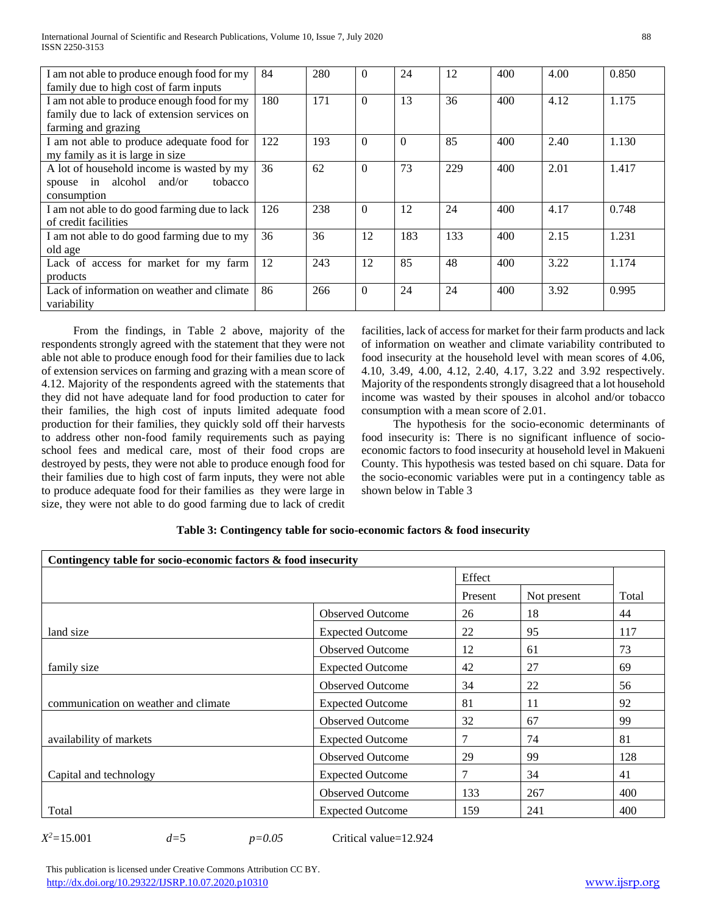| I am not able to produce enough food for my<br>family due to high cost of farm inputs                             | 84  | 280 | $\Omega$ | 24       | 12  | 400 | 4.00 | 0.850 |
|-------------------------------------------------------------------------------------------------------------------|-----|-----|----------|----------|-----|-----|------|-------|
| I am not able to produce enough food for my<br>family due to lack of extension services on<br>farming and grazing | 180 | 171 | $\theta$ | 13       | 36  | 400 | 4.12 | 1.175 |
| I am not able to produce adequate food for<br>my family as it is large in size                                    | 122 | 193 | $\Omega$ | $\Omega$ | 85  | 400 | 2.40 | 1.130 |
| A lot of household income is wasted by my<br>spouse in alcohol and/or<br>tobacco<br>consumption                   | 36  | 62  | $\theta$ | 73       | 229 | 400 | 2.01 | 1.417 |
| I am not able to do good farming due to lack<br>of credit facilities                                              | 126 | 238 | $\Omega$ | 12       | 24  | 400 | 4.17 | 0.748 |
| I am not able to do good farming due to my<br>old age                                                             | 36  | 36  | 12       | 183      | 133 | 400 | 2.15 | 1.231 |
| Lack of access for market for my farm<br>products                                                                 | 12  | 243 | 12       | 85       | 48  | 400 | 3.22 | 1.174 |
| Lack of information on weather and climate<br>variability                                                         | 86  | 266 | $\Omega$ | 24       | 24  | 400 | 3.92 | 0.995 |

 From the findings, in Table 2 above, majority of the respondents strongly agreed with the statement that they were not able not able to produce enough food for their families due to lack of extension services on farming and grazing with a mean score of 4.12. Majority of the respondents agreed with the statements that they did not have adequate land for food production to cater for their families, the high cost of inputs limited adequate food production for their families, they quickly sold off their harvests to address other non-food family requirements such as paying school fees and medical care, most of their food crops are destroyed by pests, they were not able to produce enough food for their families due to high cost of farm inputs, they were not able to produce adequate food for their families as they were large in size, they were not able to do good farming due to lack of credit facilities, lack of access for market for their farm products and lack of information on weather and climate variability contributed to food insecurity at the household level with mean scores of 4.06, 4.10, 3.49, 4.00, 4.12, 2.40, 4.17, 3.22 and 3.92 respectively. Majority of the respondents strongly disagreed that a lot household income was wasted by their spouses in alcohol and/or tobacco consumption with a mean score of 2.01.

 The hypothesis for the socio-economic determinants of food insecurity is: There is no significant influence of socioeconomic factors to food insecurity at household level in Makueni County. This hypothesis was tested based on chi square. Data for the socio-economic variables were put in a contingency table as shown below in Table 3

| Contingency table for socio-economic factors & food insecurity |                         |         |             |       |  |
|----------------------------------------------------------------|-------------------------|---------|-------------|-------|--|
|                                                                |                         | Effect  |             |       |  |
|                                                                |                         | Present | Not present | Total |  |
|                                                                | <b>Observed Outcome</b> | 26      | 18          | 44    |  |
| land size                                                      | <b>Expected Outcome</b> | 22      | 95          | 117   |  |
|                                                                | <b>Observed Outcome</b> | 12      | 61          | 73    |  |
| family size                                                    | <b>Expected Outcome</b> | 42      | 27          | 69    |  |
|                                                                | <b>Observed Outcome</b> | 34      | 22          | 56    |  |
| communication on weather and climate                           | <b>Expected Outcome</b> | 81      | 11          | 92    |  |
|                                                                | <b>Observed Outcome</b> | 32      | 67          | 99    |  |
| availability of markets                                        | <b>Expected Outcome</b> | 7       | 74          | 81    |  |
|                                                                | <b>Observed Outcome</b> | 29      | 99          | 128   |  |
| Capital and technology                                         | <b>Expected Outcome</b> | 7       | 34          | 41    |  |
|                                                                | <b>Observed Outcome</b> | 133     | 267         | 400   |  |
| Total                                                          | <b>Expected Outcome</b> | 159     | 241         | 400   |  |

## **Table 3: Contingency table for socio-economic factors & food insecurity**

 $X^2 = 15.001$ 

*<sup>2</sup>=*15.001 *d=*5 *p=0.05* Critical value=12.924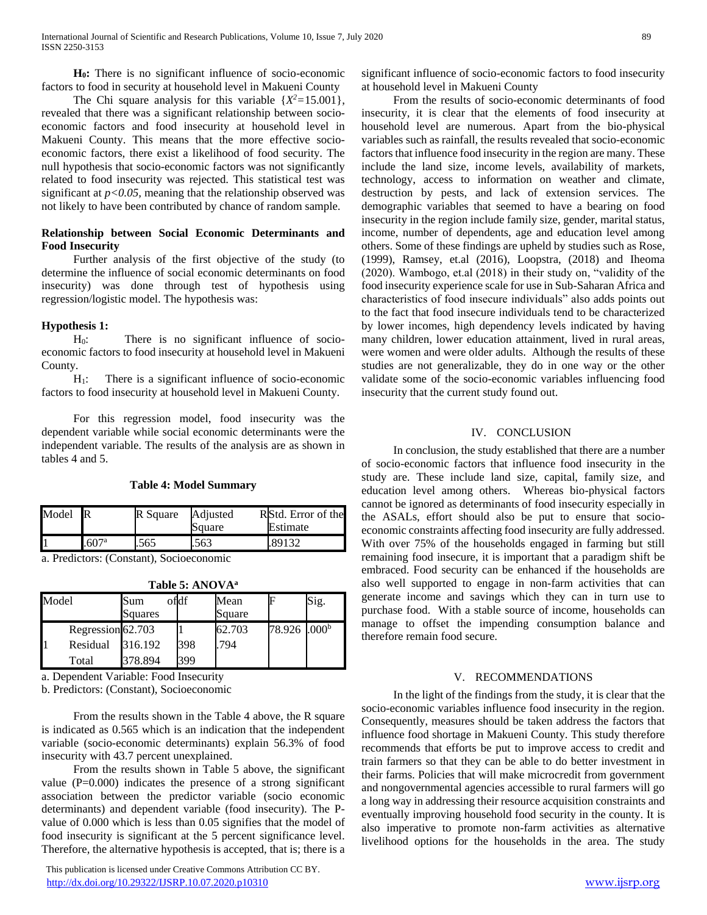**H0:** There is no significant influence of socio-economic factors to food in security at household level in Makueni County

The Chi square analysis for this variable  $\{X^2 = 15.001\}$ , revealed that there was a significant relationship between socioeconomic factors and food insecurity at household level in Makueni County. This means that the more effective socioeconomic factors, there exist a likelihood of food security. The null hypothesis that socio-economic factors was not significantly related to food insecurity was rejected. This statistical test was significant at *p<0.05,* meaning that the relationship observed was not likely to have been contributed by chance of random sample.

## **Relationship between Social Economic Determinants and Food Insecurity**

 Further analysis of the first objective of the study (to determine the influence of social economic determinants on food insecurity) was done through test of hypothesis using regression/logistic model. The hypothesis was:

### **Hypothesis 1:**

 H0: There is no significant influence of socioeconomic factors to food insecurity at household level in Makueni County.

 $H_1$ : There is a significant influence of socio-economic factors to food insecurity at household level in Makueni County.

 For this regression model, food insecurity was the dependent variable while social economic determinants were the independent variable. The results of the analysis are as shown in tables 4 and 5.

#### **Table 4: Model Summary**

| Model R |      | R Square | Adjusted<br>Square | RStd. Error of the<br>Estimate |  |
|---------|------|----------|--------------------|--------------------------------|--|
|         | 607a | .565     | .563               | .89132                         |  |

a. Predictors: (Constant), Socioeconomic

| Model |                   | Sum<br>Squares | ofdf | Mean<br>Square |                          | Sig. |
|-------|-------------------|----------------|------|----------------|--------------------------|------|
|       | Regression 62.703 |                |      | 62.703         | 78.926 .000 <sup>b</sup> |      |
|       | Residual          | 316.192        | 398  | .794           |                          |      |
|       | Total             | 378.894        | 399  |                |                          |      |

**Table 5: ANOVA<sup>a</sup>**

a. Dependent Variable: Food Insecurity

b. Predictors: (Constant), Socioeconomic

 From the results shown in the Table 4 above, the R square is indicated as 0.565 which is an indication that the independent variable (socio-economic determinants) explain 56.3% of food insecurity with 43.7 percent unexplained.

 From the results shown in Table 5 above, the significant value (P=0.000) indicates the presence of a strong significant association between the predictor variable (socio economic determinants) and dependent variable (food insecurity). The Pvalue of 0.000 which is less than 0.05 signifies that the model of food insecurity is significant at the 5 percent significance level. Therefore, the alternative hypothesis is accepted, that is; there is a

 This publication is licensed under Creative Commons Attribution CC BY. <http://dx.doi.org/10.29322/IJSRP.10.07.2020.p10310> [www.ijsrp.org](http://ijsrp.org/)

significant influence of socio-economic factors to food insecurity at household level in Makueni County

 From the results of socio-economic determinants of food insecurity, it is clear that the elements of food insecurity at household level are numerous. Apart from the bio-physical variables such as rainfall, the results revealed that socio-economic factors that influence food insecurity in the region are many. These include the land size, income levels, availability of markets, technology, access to information on weather and climate, destruction by pests, and lack of extension services. The demographic variables that seemed to have a bearing on food insecurity in the region include family size, gender, marital status, income, number of dependents, age and education level among others. Some of these findings are upheld by studies such as Rose, (1999), Ramsey, et.al (2016), Loopstra, (2018) and Iheoma (2020). Wambogo, et.al (2018) in their study on, "validity of the food insecurity experience scale for use in Sub-Saharan Africa and characteristics of food insecure individuals" also adds points out to the fact that food insecure individuals tend to be characterized by lower incomes, high dependency levels indicated by having many children, lower education attainment, lived in rural areas, were women and were older adults. Although the results of these studies are not generalizable, they do in one way or the other validate some of the socio-economic variables influencing food insecurity that the current study found out.

## IV. CONCLUSION

 In conclusion, the study established that there are a number of socio-economic factors that influence food insecurity in the study are. These include land size, capital, family size, and education level among others. Whereas bio-physical factors cannot be ignored as determinants of food insecurity especially in the ASALs, effort should also be put to ensure that socioeconomic constraints affecting food insecurity are fully addressed. With over 75% of the households engaged in farming but still remaining food insecure, it is important that a paradigm shift be embraced. Food security can be enhanced if the households are also well supported to engage in non-farm activities that can generate income and savings which they can in turn use to purchase food. With a stable source of income, households can manage to offset the impending consumption balance and therefore remain food secure.

### V. RECOMMENDATIONS

 In the light of the findings from the study, it is clear that the socio-economic variables influence food insecurity in the region. Consequently, measures should be taken address the factors that influence food shortage in Makueni County. This study therefore recommends that efforts be put to improve access to credit and train farmers so that they can be able to do better investment in their farms. Policies that will make microcredit from government and nongovernmental agencies accessible to rural farmers will go a long way in addressing their resource acquisition constraints and eventually improving household food security in the county. It is also imperative to promote non-farm activities as alternative livelihood options for the households in the area. The study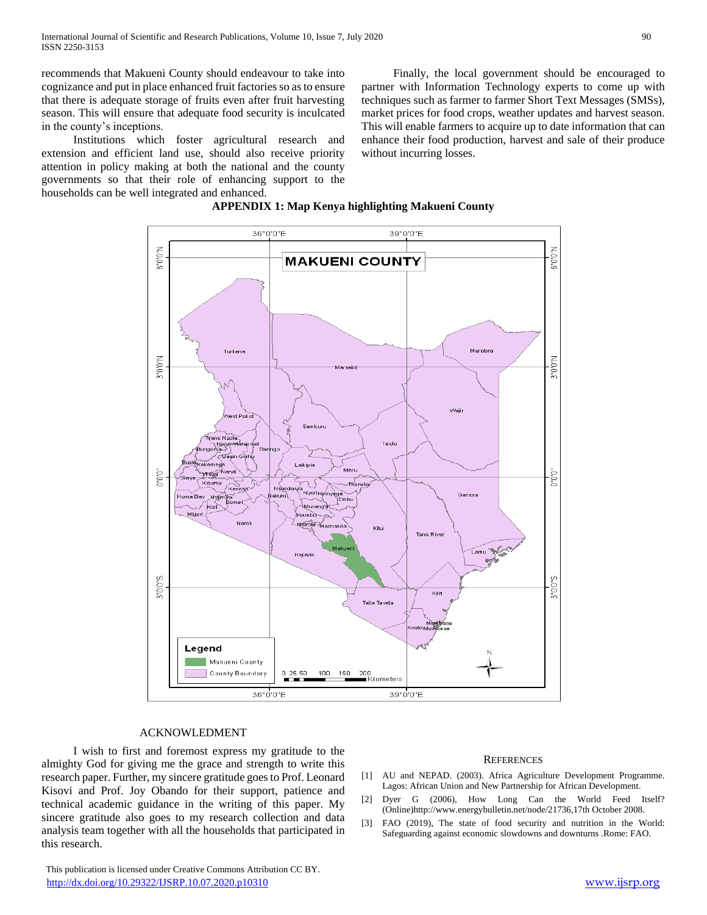recommends that Makueni County should endeavour to take into cognizance and put in place enhanced fruit factories so as to ensure that there is adequate storage of fruits even after fruit harvesting season. This will ensure that adequate food security is inculcated in the county's inceptions.

 Institutions which foster agricultural research and extension and efficient land use, should also receive priority attention in policy making at both the national and the county governments so that their role of enhancing support to the households can be well integrated and enhanced.

 Finally, the local government should be encouraged to partner with Information Technology experts to come up with techniques such as farmer to farmer Short Text Messages (SMSs), market prices for food crops, weather updates and harvest season. This will enable farmers to acquire up to date information that can enhance their food production, harvest and sale of their produce without incurring losses.





#### ACKNOWLEDMENT

 I wish to first and foremost express my gratitude to the almighty God for giving me the grace and strength to write this research paper. Further, my sincere gratitude goes to Prof. Leonard Kisovi and Prof. Joy Obando for their support, patience and technical academic guidance in the writing of this paper. My sincere gratitude also goes to my research collection and data analysis team together with all the households that participated in this research.

 This publication is licensed under Creative Commons Attribution CC BY. <http://dx.doi.org/10.29322/IJSRP.10.07.2020.p10310> [www.ijsrp.org](http://ijsrp.org/)

#### **REFERENCES**

- [1] AU and NEPAD. (2003). Africa Agriculture Development Programme. Lagos: African Union and New Partnership for African Development.
- [2] Dyer G (2006), How Long Can the World Feed Itself? (Online)http://www.energybulletin.net/node/21736,17th October 2008.
- [3] FAO (2019), The state of food security and nutrition in the World: Safeguarding against economic slowdowns and downturns .Rome: FAO.